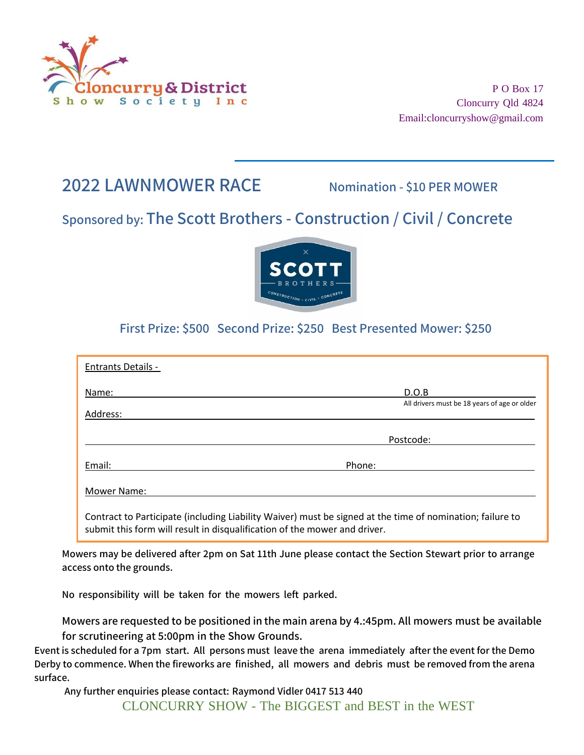

P O Box 17 Cloncurry Qld 4824 [Email:cloncurryshow@gmail.com](mailto:cloncurryshow@gmail.com)

# **2022 LAWNMOWER RACE Nomination - \$10 PER MOWER**

## **Sponsored by: The Scott Brothers - Construction / Civil / Concrete**



### **First Prize: \$500 Second Prize: \$250 Best Presented Mower: \$250**

| <b>Entrants Details -</b> |                                                                                                           |
|---------------------------|-----------------------------------------------------------------------------------------------------------|
| Name:                     | D.O.B                                                                                                     |
|                           | All drivers must be 18 years of age or older                                                              |
| Address:                  |                                                                                                           |
|                           | Postcode:                                                                                                 |
| Email:                    | Phone:                                                                                                    |
| Mower Name:               |                                                                                                           |
|                           | Contract to Participate (including Liability Waiver) must be signed at the time of nomination; failure to |

submit this form will result in disqualification of the mower and driver.

**Mowers may be delivered after 2pm on Sat 11th June please contact the Section Stewart prior to arrange access onto the grounds.**

**No responsibility will be taken for the mowers left parked.**

**Mowers are requested to be positioned in the main arena by 4.:45pm. All mowers must be available for scrutineering at 5:00pm in the Show Grounds.**

**Event is scheduled for a 7pm start. All persons must leave the arena immediately after the event for the Demo Derby to commence. When the fireworks are finished, all mowers and debris must be removed from the arena surface.**

**Any further enquiries please contact: Raymond Vidler 0417 513 440**

CLONCURRY SHOW - The BIGGEST and BEST in the WEST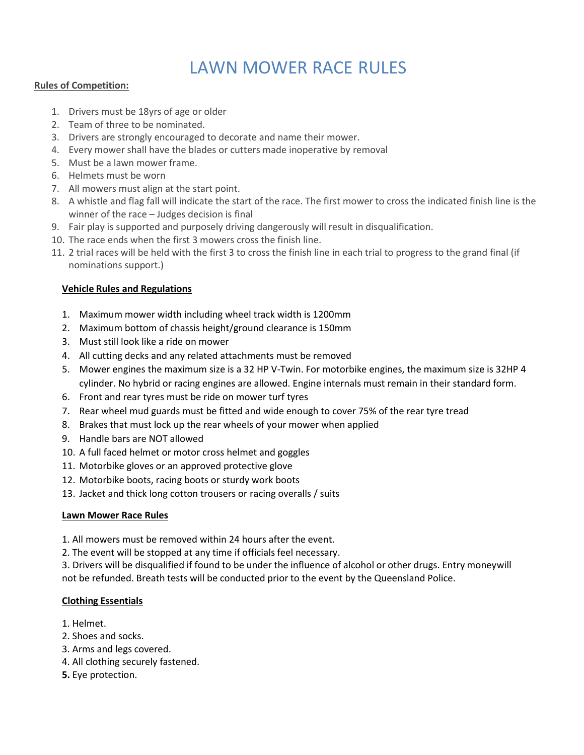# LAWN MOWER RACE RULES

#### **Rules of Competition:**

- 1. Drivers must be 18yrs of age or older
- 2. Team of three to be nominated.
- 3. Drivers are strongly encouraged to decorate and name their mower.
- 4. Every mower shall have the blades or cutters made inoperative by removal
- 5. Must be a lawn mower frame.
- 6. Helmets must be worn
- 7. All mowers must align at the start point.
- 8. A whistle and flag fall will indicate the start of the race. The first mower to cross the indicated finish line is the winner of the race – Judges decision is final
- 9. Fair play is supported and purposely driving dangerously will result in disqualification.
- 10. The race ends when the first 3 mowers cross the finish line.
- 11. 2 trial races will be held with the first 3 to cross the finish line in each trial to progress to the grand final (if nominations support.)

#### **Vehicle Rules and Regulations**

- 1. Maximum mower width including wheel track width is 1200mm
- 2. Maximum bottom of chassis height/ground clearance is 150mm
- 3. Must still look like a ride on mower
- 4. All cutting decks and any related attachments must be removed
- 5. Mower engines the maximum size is a 32 HP V-Twin. For motorbike engines, the maximum size is 32HP 4 cylinder. No hybrid or racing engines are allowed. Engine internals must remain in their standard form.
- 6. Front and rear tyres must be ride on mower turf tyres
- 7. Rear wheel mud guards must be fitted and wide enough to cover 75% of the rear tyre tread
- 8. Brakes that must lock up the rear wheels of your mower when applied
- 9. Handle bars are NOT allowed
- 10. A full faced helmet or motor cross helmet and goggles
- 11. Motorbike gloves or an approved protective glove
- 12. Motorbike boots, racing boots or sturdy work boots
- 13. Jacket and thick long cotton trousers or racing overalls / suits

#### **Lawn Mower Race Rules**

- 1. All mowers must be removed within 24 hours after the event.
- 2. The event will be stopped at any time if officials feel necessary.

3. Drivers will be disqualified if found to be under the influence of alcohol or other drugs. Entry moneywill not be refunded. Breath tests will be conducted prior to the event by the Queensland Police.

#### **Clothing Essentials**

- 1. Helmet.
- 2. Shoes and socks.
- 3. Arms and legs covered.
- 4. All clothing securely fastened.
- **5.** Eye protection.